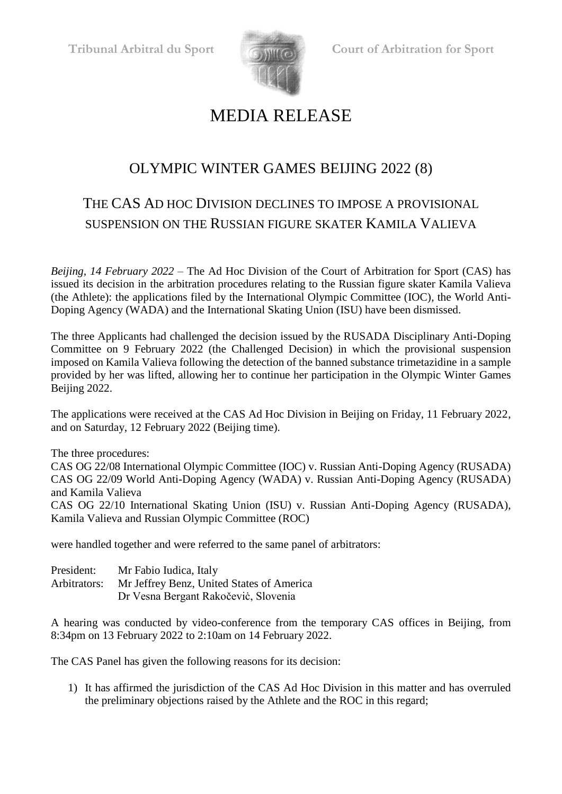

## MEDIA RELEASE

## OLYMPIC WINTER GAMES BEIJING 2022 (8)

## THE CAS AD HOC DIVISION DECLINES TO IMPOSE A PROVISIONAL SUSPENSION ON THE RUSSIAN FIGURE SKATER KAMILA VALIEVA

*Beijing, 14 February 2022* – The Ad Hoc Division of the Court of Arbitration for Sport (CAS) has issued its decision in the arbitration procedures relating to the Russian figure skater Kamila Valieva (the Athlete): the applications filed by the International Olympic Committee (IOC), the World Anti-Doping Agency (WADA) and the International Skating Union (ISU) have been dismissed.

The three Applicants had challenged the decision issued by the RUSADA Disciplinary Anti-Doping Committee on 9 February 2022 (the Challenged Decision) in which the provisional suspension imposed on Kamila Valieva following the detection of the banned substance trimetazidine in a sample provided by her was lifted, allowing her to continue her participation in the Olympic Winter Games Beijing 2022.

The applications were received at the CAS Ad Hoc Division in Beijing on Friday, 11 February 2022, and on Saturday, 12 February 2022 (Beijing time).

The three procedures:

CAS OG 22/08 International Olympic Committee (IOC) v. Russian Anti-Doping Agency (RUSADA) CAS OG 22/09 World Anti-Doping Agency (WADA) v. Russian Anti-Doping Agency (RUSADA) and Kamila Valieva

CAS OG 22/10 International Skating Union (ISU) v. Russian Anti-Doping Agency (RUSADA), Kamila Valieva and Russian Olympic Committee (ROC)

were handled together and were referred to the same panel of arbitrators:

| President:   | Mr Fabio Iudica, Italy                    |
|--------------|-------------------------------------------|
| Arbitrators: | Mr Jeffrey Benz, United States of America |
|              | Dr Vesna Bergant Rakočević, Slovenia      |

A hearing was conducted by video-conference from the temporary CAS offices in Beijing, from 8:34pm on 13 February 2022 to 2:10am on 14 February 2022.

The CAS Panel has given the following reasons for its decision:

1) It has affirmed the jurisdiction of the CAS Ad Hoc Division in this matter and has overruled the preliminary objections raised by the Athlete and the ROC in this regard;